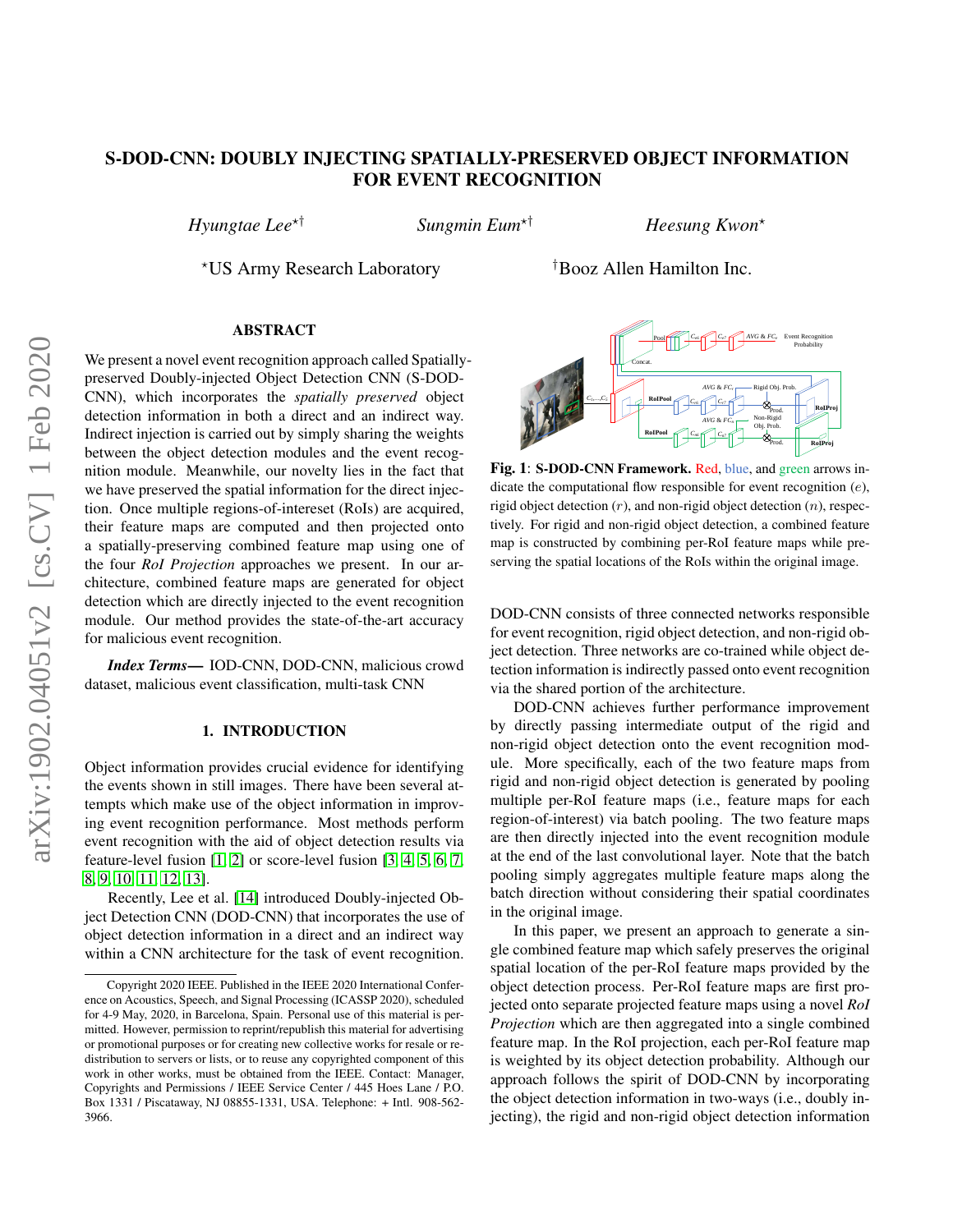# S-DOD-CNN: DOUBLY INJECTING SPATIALLY-PRESERVED OBJECT INFORMATION FOR EVENT RECOGNITION

*Hyungtae Lee*?† *Sungmin Eum*?† *Heesung Kwon*?

?US Army Research Laboratory †Booz Allen Hamilton Inc.

## ABSTRACT

We present a novel event recognition approach called Spatiallypreserved Doubly-injected Object Detection CNN (S-DOD-CNN), which incorporates the *spatially preserved* object detection information in both a direct and an indirect way. Indirect injection is carried out by simply sharing the weights between the object detection modules and the event recognition module. Meanwhile, our novelty lies in the fact that we have preserved the spatial information for the direct injection. Once multiple regions-of-intereset (RoIs) are acquired, their feature maps are computed and then projected onto a spatially-preserving combined feature map using one of the four *RoI Projection* approaches we present. In our architecture, combined feature maps are generated for object detection which are directly injected to the event recognition module. Our method provides the state-of-the-art accuracy for malicious event recognition.

*Index Terms*— IOD-CNN, DOD-CNN, malicious crowd dataset, malicious event classification, multi-task CNN

#### 1. INTRODUCTION

Object information provides crucial evidence for identifying the events shown in still images. There have been several attempts which make use of the object information in improving event recognition performance. Most methods perform event recognition with the aid of object detection results via feature-level fusion [\[1,](#page-4-0) [2\]](#page-4-1) or score-level fusion [\[3,](#page-4-2) [4,](#page-4-3) [5,](#page-4-4) [6,](#page-4-5) [7,](#page-4-6) [8,](#page-4-7) [9,](#page-4-8) [10,](#page-4-9) [11,](#page-4-10) [12,](#page-4-11) [13\]](#page-4-12).

Recently, Lee et al. [\[14\]](#page-4-13) introduced Doubly-injected Object Detection CNN (DOD-CNN) that incorporates the use of object detection information in a direct and an indirect way within a CNN architecture for the task of event recognition.

<span id="page-0-0"></span>

Fig. 1: S-DOD-CNN Framework. Red, blue, and green arrows indicate the computational flow responsible for event recognition (e), rigid object detection  $(r)$ , and non-rigid object detection  $(n)$ , respectively. For rigid and non-rigid object detection, a combined feature map is constructed by combining per-RoI feature maps while preserving the spatial locations of the RoIs within the original image.

DOD-CNN consists of three connected networks responsible for event recognition, rigid object detection, and non-rigid object detection. Three networks are co-trained while object detection information is indirectly passed onto event recognition via the shared portion of the architecture.

DOD-CNN achieves further performance improvement by directly passing intermediate output of the rigid and non-rigid object detection onto the event recognition module. More specifically, each of the two feature maps from rigid and non-rigid object detection is generated by pooling multiple per-RoI feature maps (i.e., feature maps for each region-of-interest) via batch pooling. The two feature maps are then directly injected into the event recognition module at the end of the last convolutional layer. Note that the batch pooling simply aggregates multiple feature maps along the batch direction without considering their spatial coordinates in the original image.

In this paper, we present an approach to generate a single combined feature map which safely preserves the original spatial location of the per-RoI feature maps provided by the object detection process. Per-RoI feature maps are first projected onto separate projected feature maps using a novel *RoI Projection* which are then aggregated into a single combined feature map. In the RoI projection, each per-RoI feature map is weighted by its object detection probability. Although our approach follows the spirit of DOD-CNN by incorporating the object detection information in two-ways (i.e., doubly injecting), the rigid and non-rigid object detection information

Copyright 2020 IEEE. Published in the IEEE 2020 International Conference on Acoustics, Speech, and Signal Processing (ICASSP 2020), scheduled for 4-9 May, 2020, in Barcelona, Spain. Personal use of this material is permitted. However, permission to reprint/republish this material for advertising or promotional purposes or for creating new collective works for resale or redistribution to servers or lists, or to reuse any copyrighted component of this work in other works, must be obtained from the IEEE. Contact: Manager, Copyrights and Permissions / IEEE Service Center / 445 Hoes Lane / P.O. Box 1331 / Piscataway, NJ 08855-1331, USA. Telephone: + Intl. 908-562- 3966.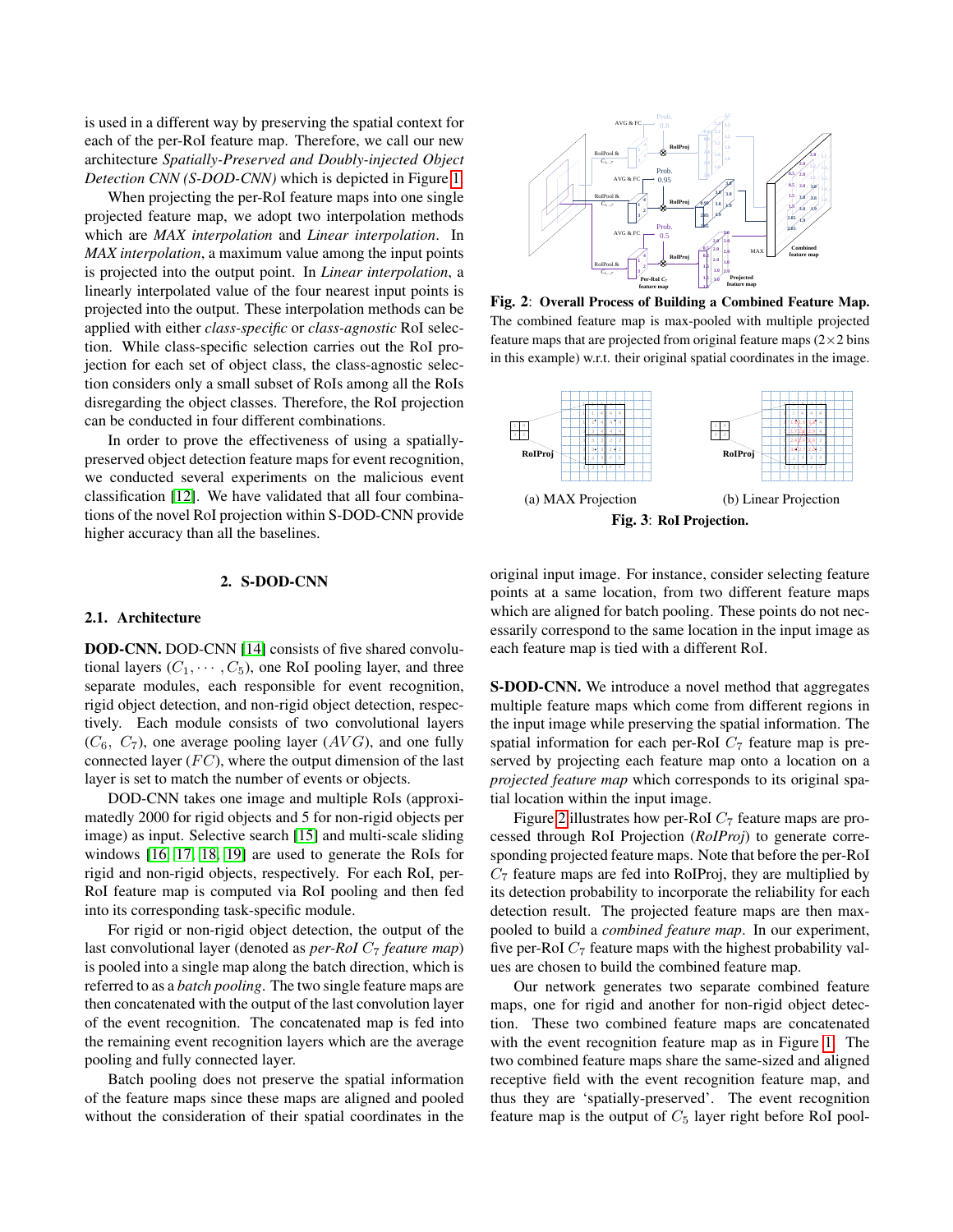is used in a different way by preserving the spatial context for each of the per-RoI feature map. Therefore, we call our new architecture *Spatially-Preserved and Doubly-injected Object Detection CNN (S-DOD-CNN)* which is depicted in Figure [1.](#page-0-0)

When projecting the per-RoI feature maps into one single projected feature map, we adopt two interpolation methods which are *MAX interpolation* and *Linear interpolation*. In *MAX interpolation*, a maximum value among the input points is projected into the output point. In *Linear interpolation*, a linearly interpolated value of the four nearest input points is projected into the output. These interpolation methods can be applied with either *class-specific* or *class-agnostic* RoI selection. While class-specific selection carries out the RoI projection for each set of object class, the class-agnostic selection considers only a small subset of RoIs among all the RoIs disregarding the object classes. Therefore, the RoI projection can be conducted in four different combinations.

In order to prove the effectiveness of using a spatiallypreserved object detection feature maps for event recognition, we conducted several experiments on the malicious event classification [\[12\]](#page-4-11). We have validated that all four combinations of the novel RoI projection within S-DOD-CNN provide higher accuracy than all the baselines.

## 2. S-DOD-CNN

#### 2.1. Architecture

DOD-CNN. DOD-CNN [\[14\]](#page-4-13) consists of five shared convolutional layers  $(C_1, \dots, C_5)$ , one RoI pooling layer, and three separate modules, each responsible for event recognition, rigid object detection, and non-rigid object detection, respectively. Each module consists of two convolutional layers  $(C_6, C_7)$ , one average pooling layer  $(AVG)$ , and one fully connected layer  $(FC)$ , where the output dimension of the last layer is set to match the number of events or objects.

DOD-CNN takes one image and multiple RoIs (approximatedly 2000 for rigid objects and 5 for non-rigid objects per image) as input. Selective search [\[15\]](#page-4-14) and multi-scale sliding windows [\[16,](#page-4-15) [17,](#page-4-16) [18,](#page-4-17) [19\]](#page-4-18) are used to generate the RoIs for rigid and non-rigid objects, respectively. For each RoI, per-RoI feature map is computed via RoI pooling and then fed into its corresponding task-specific module.

For rigid or non-rigid object detection, the output of the last convolutional layer (denoted as *per-RoI*  $C_7$  *feature map*) is pooled into a single map along the batch direction, which is referred to as a *batch pooling*. The two single feature maps are then concatenated with the output of the last convolution layer of the event recognition. The concatenated map is fed into the remaining event recognition layers which are the average pooling and fully connected layer.

Batch pooling does not preserve the spatial information of the feature maps since these maps are aligned and pooled without the consideration of their spatial coordinates in the

<span id="page-1-0"></span>

Fig. 2: Overall Process of Building a Combined Feature Map. The combined feature map is max-pooled with multiple projected feature maps that are projected from original feature maps  $(2\times 2 \text{ bins})$ in this example) w.r.t. their original spatial coordinates in the image.

<span id="page-1-1"></span>

original input image. For instance, consider selecting feature points at a same location, from two different feature maps which are aligned for batch pooling. These points do not necessarily correspond to the same location in the input image as each feature map is tied with a different RoI.

S-DOD-CNN. We introduce a novel method that aggregates multiple feature maps which come from different regions in the input image while preserving the spatial information. The spatial information for each per-RoI  $C_7$  feature map is preserved by projecting each feature map onto a location on a *projected feature map* which corresponds to its original spatial location within the input image.

Figure [2](#page-1-0) illustrates how per-RoI  $C_7$  feature maps are processed through RoI Projection (*RoIProj*) to generate corresponding projected feature maps. Note that before the per-RoI  $C_7$  feature maps are fed into RoIProj, they are multiplied by its detection probability to incorporate the reliability for each detection result. The projected feature maps are then maxpooled to build a *combined feature map*. In our experiment, five per-RoI  $C_7$  feature maps with the highest probability values are chosen to build the combined feature map.

Our network generates two separate combined feature maps, one for rigid and another for non-rigid object detection. These two combined feature maps are concatenated with the event recognition feature map as in Figure [1.](#page-0-0) The two combined feature maps share the same-sized and aligned receptive field with the event recognition feature map, and thus they are 'spatially-preserved'. The event recognition feature map is the output of  $C_5$  layer right before RoI pool-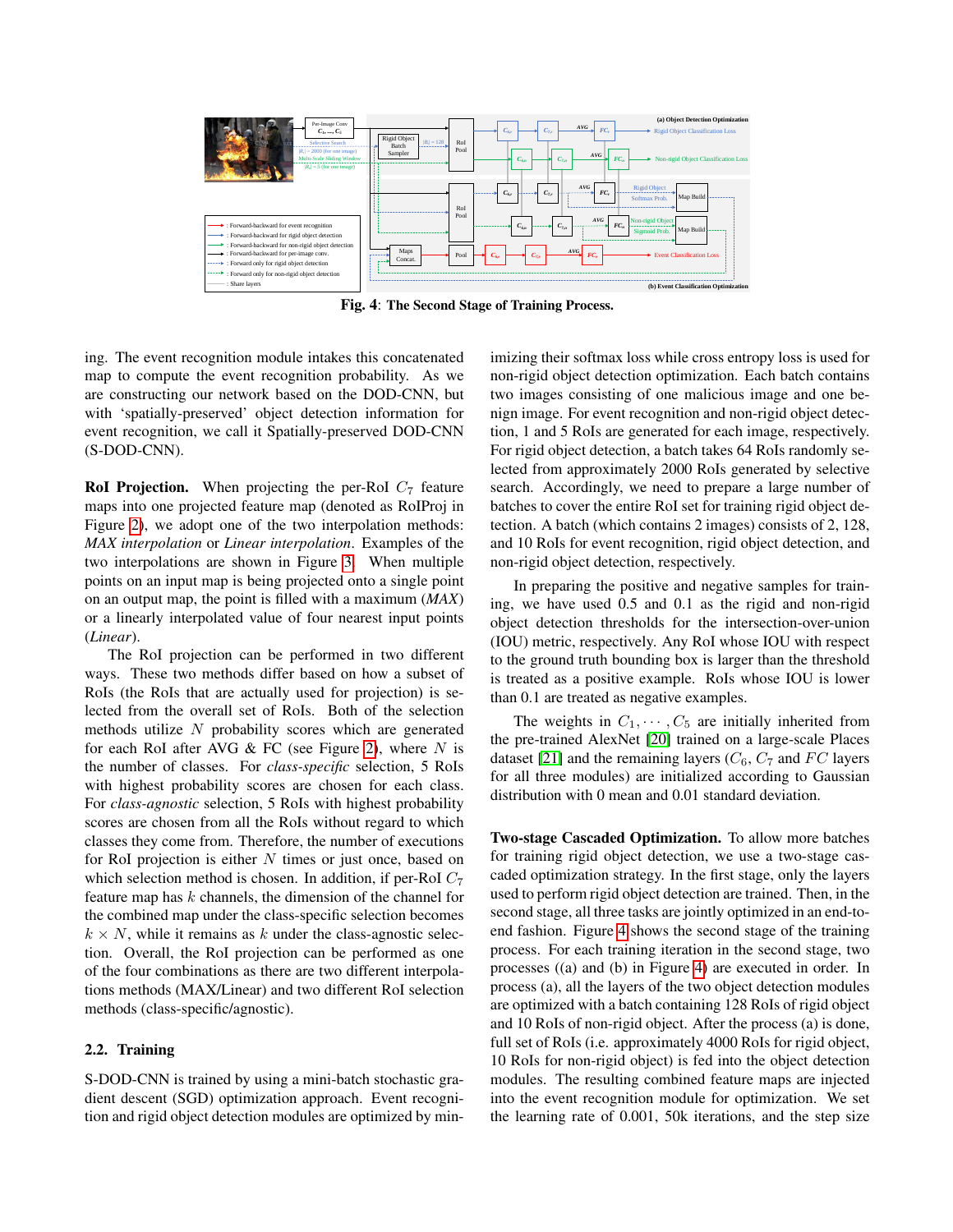<span id="page-2-0"></span>

Fig. 4: The Second Stage of Training Process.

ing. The event recognition module intakes this concatenated map to compute the event recognition probability. As we are constructing our network based on the DOD-CNN, but with 'spatially-preserved' object detection information for event recognition, we call it Spatially-preserved DOD-CNN (S-DOD-CNN).

**RoI Projection.** When projecting the per-RoI  $C_7$  feature maps into one projected feature map (denoted as RoIProj in Figure [2\)](#page-1-0), we adopt one of the two interpolation methods: *MAX interpolation* or *Linear interpolation*. Examples of the two interpolations are shown in Figure [3.](#page-1-1) When multiple points on an input map is being projected onto a single point on an output map, the point is filled with a maximum (*MAX*) or a linearly interpolated value of four nearest input points (*Linear*).

The RoI projection can be performed in two different ways. These two methods differ based on how a subset of RoIs (the RoIs that are actually used for projection) is selected from the overall set of RoIs. Both of the selection methods utilize N probability scores which are generated for each RoI after AVG  $&$  FC (see Figure [2\)](#page-1-0), where N is the number of classes. For *class-specific* selection, 5 RoIs with highest probability scores are chosen for each class. For *class-agnostic* selection, 5 RoIs with highest probability scores are chosen from all the RoIs without regard to which classes they come from. Therefore, the number of executions for RoI projection is either  $N$  times or just once, based on which selection method is chosen. In addition, if per-RoI  $C_7$ feature map has  $k$  channels, the dimension of the channel for the combined map under the class-specific selection becomes  $k \times N$ , while it remains as k under the class-agnostic selection. Overall, the RoI projection can be performed as one of the four combinations as there are two different interpolations methods (MAX/Linear) and two different RoI selection methods (class-specific/agnostic).

## 2.2. Training

S-DOD-CNN is trained by using a mini-batch stochastic gradient descent (SGD) optimization approach. Event recognition and rigid object detection modules are optimized by minimizing their softmax loss while cross entropy loss is used for non-rigid object detection optimization. Each batch contains two images consisting of one malicious image and one benign image. For event recognition and non-rigid object detection, 1 and 5 RoIs are generated for each image, respectively. For rigid object detection, a batch takes 64 RoIs randomly selected from approximately 2000 RoIs generated by selective search. Accordingly, we need to prepare a large number of batches to cover the entire RoI set for training rigid object detection. A batch (which contains 2 images) consists of 2, 128, and 10 RoIs for event recognition, rigid object detection, and non-rigid object detection, respectively.

In preparing the positive and negative samples for training, we have used 0.5 and 0.1 as the rigid and non-rigid object detection thresholds for the intersection-over-union (IOU) metric, respectively. Any RoI whose IOU with respect to the ground truth bounding box is larger than the threshold is treated as a positive example. RoIs whose IOU is lower than 0.1 are treated as negative examples.

The weights in  $C_1, \dots, C_5$  are initially inherited from the pre-trained AlexNet [\[20\]](#page-4-19) trained on a large-scale Places dataset [\[21\]](#page-4-20) and the remaining layers  $(C_6, C_7$  and FC layers for all three modules) are initialized according to Gaussian distribution with 0 mean and 0.01 standard deviation.

Two-stage Cascaded Optimization. To allow more batches for training rigid object detection, we use a two-stage cascaded optimization strategy. In the first stage, only the layers used to perform rigid object detection are trained. Then, in the second stage, all three tasks are jointly optimized in an end-toend fashion. Figure [4](#page-2-0) shows the second stage of the training process. For each training iteration in the second stage, two processes ((a) and (b) in Figure [4\)](#page-2-0) are executed in order. In process (a), all the layers of the two object detection modules are optimized with a batch containing 128 RoIs of rigid object and 10 RoIs of non-rigid object. After the process (a) is done, full set of RoIs (i.e. approximately 4000 RoIs for rigid object, 10 RoIs for non-rigid object) is fed into the object detection modules. The resulting combined feature maps are injected into the event recognition module for optimization. We set the learning rate of 0.001, 50k iterations, and the step size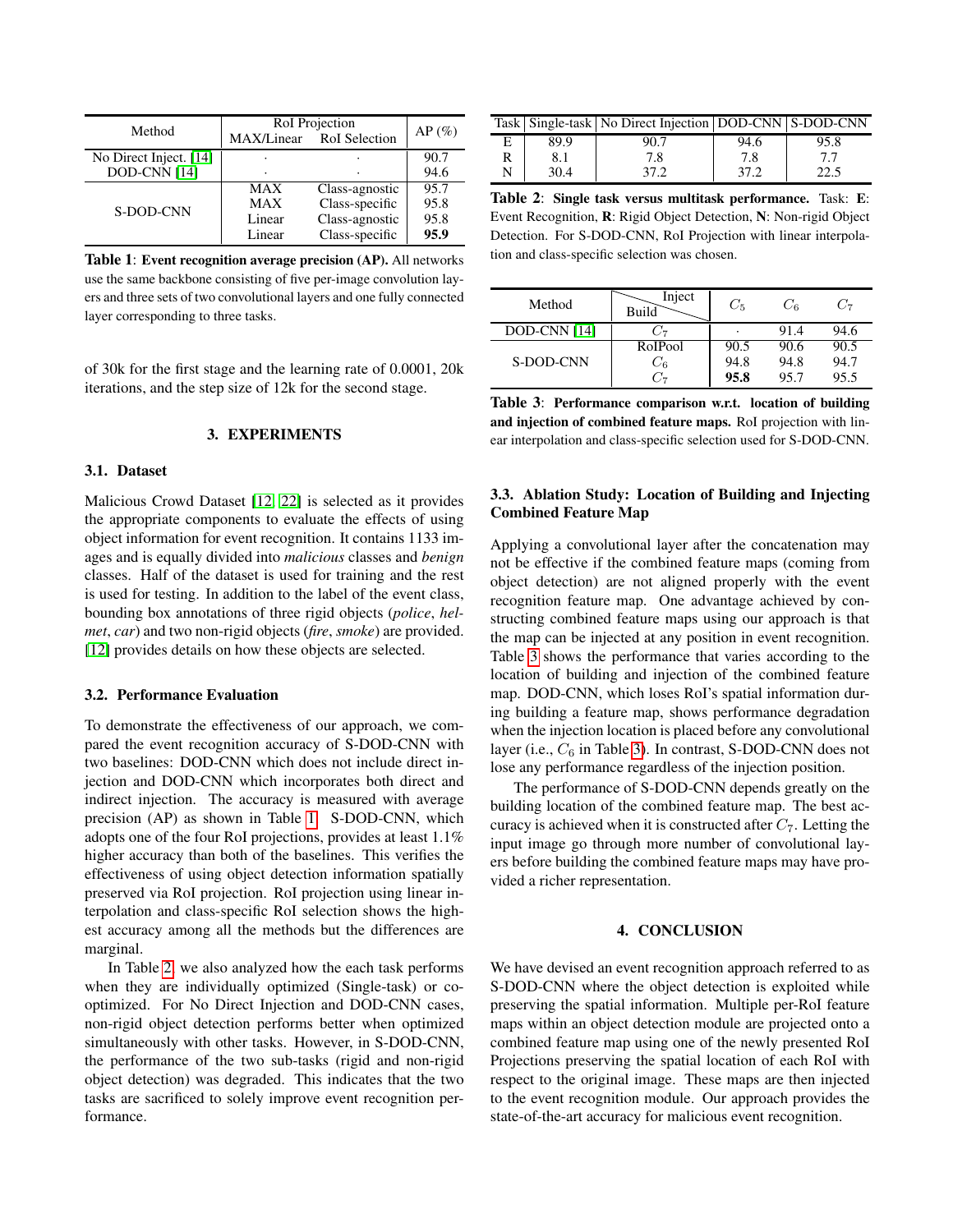<span id="page-3-0"></span>

| Method                                 | RoI Projection<br>MAX/Linear RoI Selection | $AP(\%)$                                           |                      |
|----------------------------------------|--------------------------------------------|----------------------------------------------------|----------------------|
| No Direct Inject. [14]<br>DOD-CNN [14] |                                            |                                                    | 90.7<br>94.6         |
| S-DOD-CNN                              | MAX                                        | Class-agnostic                                     | 95.7                 |
|                                        | MAX<br>Linear<br>Linear                    | Class-specific<br>Class-agnostic<br>Class-specific | 95.8<br>95.8<br>95.9 |

Table 1: Event recognition average precision (AP). All networks use the same backbone consisting of five per-image convolution layers and three sets of two convolutional layers and one fully connected layer corresponding to three tasks.

of 30k for the first stage and the learning rate of 0.0001, 20k iterations, and the step size of 12k for the second stage.

#### 3. EXPERIMENTS

# 3.1. Dataset

Malicious Crowd Dataset [\[12,](#page-4-11) [22\]](#page-4-21) is selected as it provides the appropriate components to evaluate the effects of using object information for event recognition. It contains 1133 images and is equally divided into *malicious* classes and *benign* classes. Half of the dataset is used for training and the rest is used for testing. In addition to the label of the event class, bounding box annotations of three rigid objects (*police*, *helmet*, *car*) and two non-rigid objects (*fire*, *smoke*) are provided. [\[12\]](#page-4-11) provides details on how these objects are selected.

#### 3.2. Performance Evaluation

To demonstrate the effectiveness of our approach, we compared the event recognition accuracy of S-DOD-CNN with two baselines: DOD-CNN which does not include direct injection and DOD-CNN which incorporates both direct and indirect injection. The accuracy is measured with average precision (AP) as shown in Table [1.](#page-3-0) S-DOD-CNN, which adopts one of the four RoI projections, provides at least 1.1% higher accuracy than both of the baselines. This verifies the effectiveness of using object detection information spatially preserved via RoI projection. RoI projection using linear interpolation and class-specific RoI selection shows the highest accuracy among all the methods but the differences are marginal.

In Table [2,](#page-3-1) we also analyzed how the each task performs when they are individually optimized (Single-task) or cooptimized. For No Direct Injection and DOD-CNN cases, non-rigid object detection performs better when optimized simultaneously with other tasks. However, in S-DOD-CNN, the performance of the two sub-tasks (rigid and non-rigid object detection) was degraded. This indicates that the two tasks are sacrificed to solely improve event recognition performance.

<span id="page-3-1"></span>

|      | Task   Single-task   No Direct Injection   DOD-CNN   S-DOD-CNN |      |  |
|------|----------------------------------------------------------------|------|--|
| 89.9 |                                                                | 94.6 |  |
|      |                                                                | 7.8  |  |
| 30.4 |                                                                |      |  |

Table 2: Single task versus multitask performance. Task: E: Event Recognition, R: Rigid Object Detection, N: Non-rigid Object Detection. For S-DOD-CNN, RoI Projection with linear interpolation and class-specific selection was chosen.

<span id="page-3-2"></span>

| Method       | Inject<br>Build | $C_5$ | $C_{6}$ | ىن.  |
|--------------|-----------------|-------|---------|------|
| DOD-CNN [14] |                 |       | 91.4    | 94.6 |
| S-DOD-CNN    | RoIPool         | 90.5  | 90.6    | 90.5 |
|              | U6              | 94.8  | 94.8    | 94.7 |
|              |                 | 95.8  | 95.7    | 95.5 |

Table 3: Performance comparison w.r.t. location of building and injection of combined feature maps. RoI projection with linear interpolation and class-specific selection used for S-DOD-CNN.

## 3.3. Ablation Study: Location of Building and Injecting Combined Feature Map

Applying a convolutional layer after the concatenation may not be effective if the combined feature maps (coming from object detection) are not aligned properly with the event recognition feature map. One advantage achieved by constructing combined feature maps using our approach is that the map can be injected at any position in event recognition. Table [3](#page-3-2) shows the performance that varies according to the location of building and injection of the combined feature map. DOD-CNN, which loses RoI's spatial information during building a feature map, shows performance degradation when the injection location is placed before any convolutional layer (i.e.,  $C_6$  in Table [3\)](#page-3-2). In contrast, S-DOD-CNN does not lose any performance regardless of the injection position.

The performance of S-DOD-CNN depends greatly on the building location of the combined feature map. The best accuracy is achieved when it is constructed after  $C_7$ . Letting the input image go through more number of convolutional layers before building the combined feature maps may have provided a richer representation.

#### 4. CONCLUSION

We have devised an event recognition approach referred to as S-DOD-CNN where the object detection is exploited while preserving the spatial information. Multiple per-RoI feature maps within an object detection module are projected onto a combined feature map using one of the newly presented RoI Projections preserving the spatial location of each RoI with respect to the original image. These maps are then injected to the event recognition module. Our approach provides the state-of-the-art accuracy for malicious event recognition.